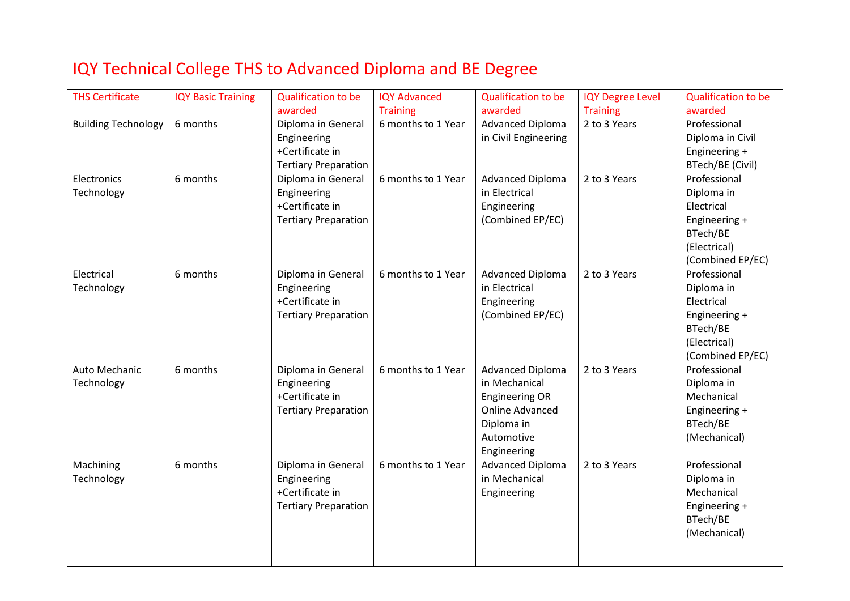## IQY Technical College THS to Advanced Diploma and BE Degree

| <b>THS Certificate</b>     | <b>IQY Basic Training</b> | <b>Qualification to be</b>  | <b>IQY Advanced</b> | <b>Qualification to be</b> | <b>IQY Degree Level</b> | <b>Qualification to be</b> |
|----------------------------|---------------------------|-----------------------------|---------------------|----------------------------|-------------------------|----------------------------|
|                            |                           | awarded                     | <b>Training</b>     | awarded                    | <b>Training</b>         | awarded                    |
| <b>Building Technology</b> | 6 months                  | Diploma in General          | 6 months to 1 Year  | <b>Advanced Diploma</b>    | 2 to 3 Years            | Professional               |
|                            |                           | Engineering                 |                     | in Civil Engineering       |                         | Diploma in Civil           |
|                            |                           | +Certificate in             |                     |                            |                         | Engineering +              |
|                            |                           | <b>Tertiary Preparation</b> |                     |                            |                         | BTech/BE (Civil)           |
| Electronics                | 6 months                  | Diploma in General          | 6 months to 1 Year  | <b>Advanced Diploma</b>    | 2 to 3 Years            | Professional               |
| Technology                 |                           | Engineering                 |                     | in Electrical              |                         | Diploma in                 |
|                            |                           | +Certificate in             |                     | Engineering                |                         | Electrical                 |
|                            |                           | <b>Tertiary Preparation</b> |                     | (Combined EP/EC)           |                         | Engineering +              |
|                            |                           |                             |                     |                            |                         | BTech/BE                   |
|                            |                           |                             |                     |                            |                         | (Electrical)               |
|                            |                           |                             |                     |                            |                         | (Combined EP/EC)           |
| Electrical                 | 6 months                  | Diploma in General          | 6 months to 1 Year  | <b>Advanced Diploma</b>    | 2 to 3 Years            | Professional               |
| Technology                 |                           | Engineering                 |                     | in Electrical              |                         | Diploma in                 |
|                            |                           | +Certificate in             |                     | Engineering                |                         | Electrical                 |
|                            |                           | <b>Tertiary Preparation</b> |                     | (Combined EP/EC)           |                         | Engineering +              |
|                            |                           |                             |                     |                            |                         | BTech/BE                   |
|                            |                           |                             |                     |                            |                         | (Electrical)               |
|                            |                           |                             |                     |                            |                         | (Combined EP/EC)           |
| Auto Mechanic              | 6 months                  | Diploma in General          | 6 months to 1 Year  | <b>Advanced Diploma</b>    | 2 to 3 Years            | Professional               |
| Technology                 |                           | Engineering                 |                     | in Mechanical              |                         | Diploma in                 |
|                            |                           | +Certificate in             |                     | <b>Engineering OR</b>      |                         | Mechanical                 |
|                            |                           | <b>Tertiary Preparation</b> |                     | <b>Online Advanced</b>     |                         | Engineering +              |
|                            |                           |                             |                     | Diploma in                 |                         | BTech/BE                   |
|                            |                           |                             |                     | Automotive                 |                         | (Mechanical)               |
|                            |                           |                             |                     | Engineering                |                         |                            |
| Machining                  | 6 months                  | Diploma in General          | 6 months to 1 Year  | <b>Advanced Diploma</b>    | 2 to 3 Years            | Professional               |
| Technology                 |                           | Engineering                 |                     | in Mechanical              |                         | Diploma in                 |
|                            |                           | +Certificate in             |                     | Engineering                |                         | Mechanical                 |
|                            |                           | <b>Tertiary Preparation</b> |                     |                            |                         | Engineering +              |
|                            |                           |                             |                     |                            |                         | BTech/BE                   |
|                            |                           |                             |                     |                            |                         | (Mechanical)               |
|                            |                           |                             |                     |                            |                         |                            |
|                            |                           |                             |                     |                            |                         |                            |